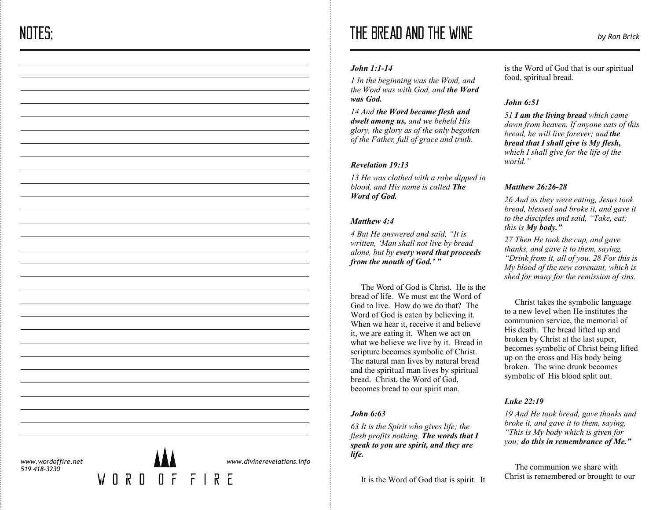# THE BREAD AND THE WINE *by Ron Brick*

## *John 1:1-14*

*1 In the beginning was the Word, and the Word was with God, and the Word was God.*

*14 And the Word became flesh and dwelt among us, and we beheld His glory, the glory as of the only begotten of the Father, full of grace and truth.*

## *Revelation 19:13*

*13 He was clothed with a robe dipped in blood, and His name is called The Word of God.*

## *Matthew 4:4*

*4 But He answered and said, "It is written, 'Man shall not live by bread alone, but by every word that proceeds from the mouth of God.' "*

The Word of God is Christ. He is the bread of life. We must eat the Word of God to live. How do we do that? The Word of God is eaten by believing it. When we hear it, receive it and believe it, we are eating it. When we act on what we believe we live by it. Bread in scripture becomes symbolic of Christ. The natural man lives by natural bread and the spiritual man lives by spiritual bread. Christ, the Word of God, becomes bread to our spirit man.

# *John 6:63*

*63 It is the Spirit who gives life; the flesh profits nothing. The words that I speak to you are spirit, and they are life.*

It is the Word of God that is spirit. It

is the Word of God that is our spiritual food, spiritual bread.

# *John 6:51*

*51 I am the living bread which came down from heaven. If anyone eats of this bread, he will live forever; and the bread that I shall give is My flesh, which I shall give for the life of the world."*

# *Matthew 26:26-28*

*26 And as they were eating, Jesus took bread, blessed and broke it, and gave it to the disciples and said, "Take, eat; this is My body."*

*27 Then He took the cup, and gave thanks, and gave it to them, saying, "Drink from it, all of you. 28 For this is My blood of the new covenant, which is shed for many for the remission of sins.*

 Christ takes the symbolic language to a new level when He institutes the communion service, the memorial of His death. The bread lifted up and broken by Christ at the last super, becomes symbolic of Christ being lifted up on the cross and His body being broken. The wine drunk becomes symbolic of His blood split out.

# *Luke 22:19*

*19 And He took bread, gave thanks and broke it, and gave it to them, saying, "This is My body which is given for you; do this in remembrance of Me."*

 The communion we share with Christ is remembered or brought to our

*www.wordoffire.net 519 418-3230*



*www.divinerevelations.info*